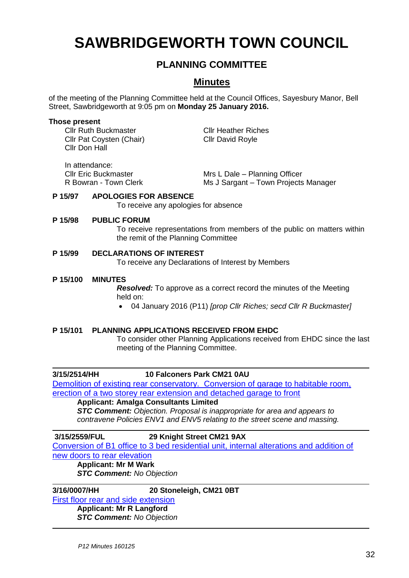# **SAWBRIDGEWORTH TOWN COUNCIL**

# **PLANNING COMMITTEE**

# **Minutes**

of the meeting of the Planning Committee held at the Council Offices, Sayesbury Manor, Bell Street, Sawbridgeworth at 9:05 pm on **Monday 25 January 2016.**

#### **Those present**

Cllr Ruth Buckmaster Cllr Heather Riches Cllr Pat Coysten (Chair) Cllr David Royle Cllr Don Hall

In attendance:

Cllr Eric Buckmaster Mrs L Dale – Planning Officer R Bowran - Town Clerk Ms J Sargant – Town Projects Manager

#### **P 15/97 APOLOGIES FOR ABSENCE**

To receive any apologies for absence

#### **P 15/98 PUBLIC FORUM**

To receive representations from members of the public on matters within the remit of the Planning Committee

#### **P 15/99 DECLARATIONS OF INTEREST**

To receive any Declarations of Interest by Members

#### **P 15/100 MINUTES**

*Resolved:* To approve as a correct record the minutes of the Meeting held on:

04 January 2016 (P11) *[prop Cllr Riches; secd Cllr R Buckmaster]*

#### **P 15/101 PLANNING APPLICATIONS RECEIVED FROM EHDC**

To consider other Planning Applications received from EHDC since the last meeting of the Planning Committee.

### **3/15/2514/HH 10 Falconers Park CM21 0AU**

[Demolition of existing rear conservatory. Conversion of garage to habitable room,](https://publicaccess.eastherts.gov.uk/online-applications/applicationDetails.do?activeTab=summary&keyVal=NZI425GLHYW00)  [erection of a two storey rear extension and detached garage to front](https://publicaccess.eastherts.gov.uk/online-applications/applicationDetails.do?activeTab=summary&keyVal=NZI425GLHYW00)

### **Applicant: Amalga Consultants Limited**

*STC Comment: Objection. Proposal is inappropriate for area and appears to contravene Policies ENV1 and ENV5 relating to the street scene and massing.*

#### **3/15/2559/FUL 29 Knight Street CM21 9AX**

[Conversion of B1 office to 3 bed residential unit, internal alterations and addition of](https://publicaccess.eastherts.gov.uk/online-applications/applicationDetails.do?activeTab=summary&keyVal=NZTGCBGLI1900)  [new doors to rear elevation](https://publicaccess.eastherts.gov.uk/online-applications/applicationDetails.do?activeTab=summary&keyVal=NZTGCBGLI1900)

# **Applicant: Mr M Wark**

*STC Comment: No Objection*

**3/16/0007/HH 20 Stoneleigh, CM21 0BT** 

[First floor rear and side extension](https://publicaccess.eastherts.gov.uk/online-applications/applicationDetails.do?activeTab=summary&keyVal=O0H2ZXGL00X00) **Applicant: Mr R Langford**

*STC Comment: No Objection*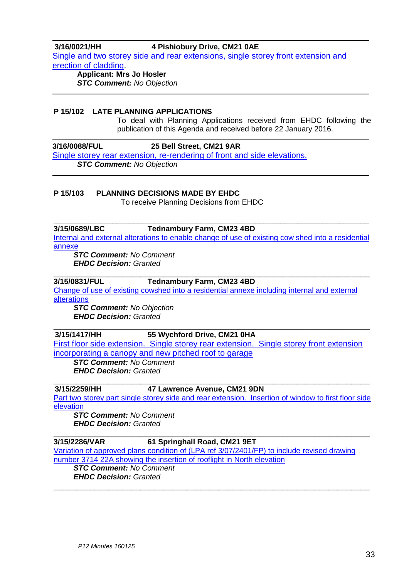**3/16/0021/HH 4 Pishiobury Drive, CM21 0AE**  [Single and two storey side and rear extensions, single storey front extension and](https://publicaccess.eastherts.gov.uk/online-applications/applicationDetails.do?activeTab=summary&keyVal=O0JGJXGLI4B00)  [erection of cladding.](https://publicaccess.eastherts.gov.uk/online-applications/applicationDetails.do?activeTab=summary&keyVal=O0JGJXGLI4B00)

**Applicant: Mrs Jo Hosler** *STC Comment: No Objection*

### **P 15/102 LATE PLANNING APPLICATIONS**

To deal with Planning Applications received from EHDC following the publication of this Agenda and received before 22 January 2016.

#### **3/16/0088/FUL 25 Bell Street, CM21 9AR**

Single storey rear extension, re-rendering of front and side elevations. *STC Comment: No Objection*

### **P 15/103 PLANNING DECISIONS MADE BY EHDC**

To receive Planning Decisions from EHDC

#### \_\_\_\_\_\_\_\_\_\_\_\_\_\_\_\_\_\_\_\_\_\_\_\_\_\_\_\_\_\_\_\_\_\_\_\_\_\_\_\_\_\_\_\_\_\_\_\_\_\_\_\_\_\_\_\_\_\_\_\_\_\_\_\_\_\_\_\_\_\_\_\_\_\_\_ **3/15/0689/LBC Tednambury Farm, CM23 4BD**

[Internal and external alterations to enable change of use of existing cow shed into a residential](https://publicaccess.eastherts.gov.uk/online-applications/applicationDetails.do?activeTab=summary&keyVal=NM899VGLFUB00)  [annexe](https://publicaccess.eastherts.gov.uk/online-applications/applicationDetails.do?activeTab=summary&keyVal=NM899VGLFUB00)

*STC Comment: No Comment EHDC Decision: Granted*

#### \_\_\_\_\_\_\_\_\_\_\_\_\_\_\_\_\_\_\_\_\_\_\_\_\_\_\_\_\_\_\_\_\_\_\_\_\_\_\_\_\_\_\_\_\_\_\_\_\_\_\_\_\_\_\_\_\_\_\_\_\_\_\_\_\_\_\_\_\_ **3/15/0831/FUL Tednambury Farm, CM23 4BD**

[Change of use of existing cowshed into a residential annexe including internal and external](https://publicaccess.eastherts.gov.uk/online-applications/applicationDetails.do?activeTab=summary&keyVal=NN74T6GLFZ300)  [alterations](https://publicaccess.eastherts.gov.uk/online-applications/applicationDetails.do?activeTab=summary&keyVal=NN74T6GLFZ300)

*STC Comment: No Objection EHDC Decision: Granted*

#### \_\_\_\_\_\_\_\_\_\_\_\_\_\_\_\_\_\_\_\_\_\_\_\_\_\_\_\_\_\_\_\_\_\_\_\_\_\_\_\_\_\_\_\_\_\_\_\_\_\_\_\_\_\_\_\_\_\_\_\_\_\_\_\_\_\_\_\_\_ **3/15/1417/HH 55 Wychford Drive, CM21 0HA**

[First floor side extension. Single storey rear extension. Single storey front extension](https://publicaccess.eastherts.gov.uk/online-applications/applicationDetails.do?activeTab=summary&keyVal=NR290EGL00X00)  [incorporating a canopy and new pitched roof to garage](https://publicaccess.eastherts.gov.uk/online-applications/applicationDetails.do?activeTab=summary&keyVal=NR290EGL00X00)

*STC Comment: No Comment EHDC Decision: Granted*

#### \_\_\_\_\_\_\_\_\_\_\_\_\_\_\_\_\_\_\_\_\_\_\_\_\_\_\_\_\_\_\_\_\_\_\_\_\_\_\_\_\_\_\_\_\_\_\_\_\_\_\_\_\_\_\_\_\_\_\_\_\_\_\_\_\_\_\_\_\_ **3/15/2259/HH 47 Lawrence Avenue, CM21 9DN**

[Part two storey part single storey side and rear extension. Insertion of window to first floor](https://publicaccess.eastherts.gov.uk/online-applications/applicationDetails.do?activeTab=summary&keyVal=NXLABSGLHL300) side [elevation](https://publicaccess.eastherts.gov.uk/online-applications/applicationDetails.do?activeTab=summary&keyVal=NXLABSGLHL300)

*STC Comment: No Comment EHDC Decision: Granted*

#### \_\_\_\_\_\_\_\_\_\_\_\_\_\_\_\_\_\_\_\_\_\_\_\_\_\_\_\_\_\_\_\_\_\_\_\_\_\_\_\_\_\_\_\_\_\_\_\_\_\_\_\_\_\_\_\_\_\_\_\_\_\_\_\_\_\_\_\_\_ **3/15/2286/VAR 61 Springhall Road, CM21 9ET**

[Variation of approved plans condition of \(LPA ref 3/07/2401/FP\) to include](https://publicaccess.eastherts.gov.uk/online-applications/applicationDetails.do?activeTab=summary&keyVal=NXSOW9GLHMN00) revised drawing [number 3714 22A showing the insertion of rooflight in North elevation](https://publicaccess.eastherts.gov.uk/online-applications/applicationDetails.do?activeTab=summary&keyVal=NXSOW9GLHMN00)

*STC Comment: No Comment EHDC Decision: Granted* \_\_\_\_\_\_\_\_\_\_\_\_\_\_\_\_\_\_\_\_\_\_\_\_\_\_\_\_\_\_\_\_\_\_\_\_\_\_\_\_\_\_\_\_\_\_\_\_\_\_\_\_\_\_\_\_\_\_\_\_\_\_\_\_\_\_\_\_\_